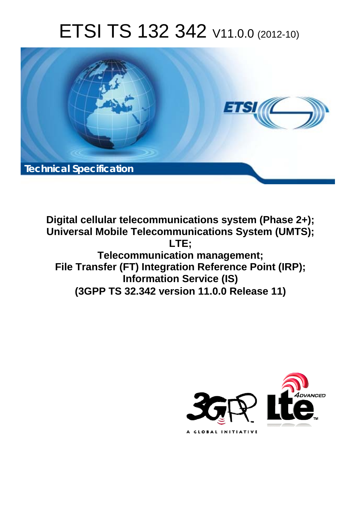# ETSI TS 132 342 V11.0.0 (2012-10)



**Digital cellular telecommunications system (Phase 2+); Universal Mobile Telecommunications System (UMTS); LTE; Telecommunication management; File Transfer (FT) Integration Reference Point (IRP); Information Service (IS) (3GPP TS 32.342 version 11.0.0 Release 11)** 

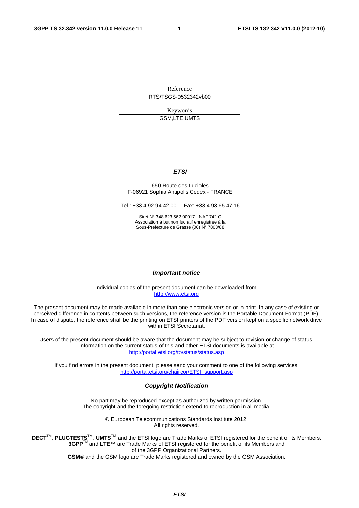Reference RTS/TSGS-0532342vb00

> Keywords GSM,LTE,UMTS

#### *ETSI*

#### 650 Route des Lucioles F-06921 Sophia Antipolis Cedex - FRANCE

Tel.: +33 4 92 94 42 00 Fax: +33 4 93 65 47 16

Siret N° 348 623 562 00017 - NAF 742 C Association à but non lucratif enregistrée à la Sous-Préfecture de Grasse (06) N° 7803/88

#### *Important notice*

Individual copies of the present document can be downloaded from: [http://www.etsi.org](http://www.etsi.org/)

The present document may be made available in more than one electronic version or in print. In any case of existing or perceived difference in contents between such versions, the reference version is the Portable Document Format (PDF). In case of dispute, the reference shall be the printing on ETSI printers of the PDF version kept on a specific network drive within ETSI Secretariat.

Users of the present document should be aware that the document may be subject to revision or change of status. Information on the current status of this and other ETSI documents is available at <http://portal.etsi.org/tb/status/status.asp>

If you find errors in the present document, please send your comment to one of the following services: [http://portal.etsi.org/chaircor/ETSI\\_support.asp](http://portal.etsi.org/chaircor/ETSI_support.asp)

#### *Copyright Notification*

No part may be reproduced except as authorized by written permission. The copyright and the foregoing restriction extend to reproduction in all media.

> © European Telecommunications Standards Institute 2012. All rights reserved.

DECT<sup>™</sup>, PLUGTESTS<sup>™</sup>, UMTS<sup>™</sup> and the ETSI logo are Trade Marks of ETSI registered for the benefit of its Members. **3GPP**TM and **LTE**™ are Trade Marks of ETSI registered for the benefit of its Members and of the 3GPP Organizational Partners.

**GSM**® and the GSM logo are Trade Marks registered and owned by the GSM Association.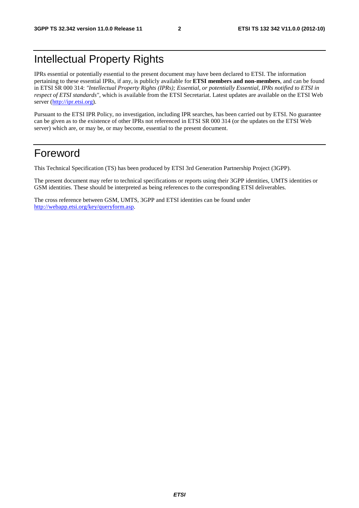# Intellectual Property Rights

IPRs essential or potentially essential to the present document may have been declared to ETSI. The information pertaining to these essential IPRs, if any, is publicly available for **ETSI members and non-members**, and can be found in ETSI SR 000 314: *"Intellectual Property Rights (IPRs); Essential, or potentially Essential, IPRs notified to ETSI in respect of ETSI standards"*, which is available from the ETSI Secretariat. Latest updates are available on the ETSI Web server ([http://ipr.etsi.org\)](http://webapp.etsi.org/IPR/home.asp).

Pursuant to the ETSI IPR Policy, no investigation, including IPR searches, has been carried out by ETSI. No guarantee can be given as to the existence of other IPRs not referenced in ETSI SR 000 314 (or the updates on the ETSI Web server) which are, or may be, or may become, essential to the present document.

# Foreword

This Technical Specification (TS) has been produced by ETSI 3rd Generation Partnership Project (3GPP).

The present document may refer to technical specifications or reports using their 3GPP identities, UMTS identities or GSM identities. These should be interpreted as being references to the corresponding ETSI deliverables.

The cross reference between GSM, UMTS, 3GPP and ETSI identities can be found under [http://webapp.etsi.org/key/queryform.asp.](http://webapp.etsi.org/key/queryform.asp)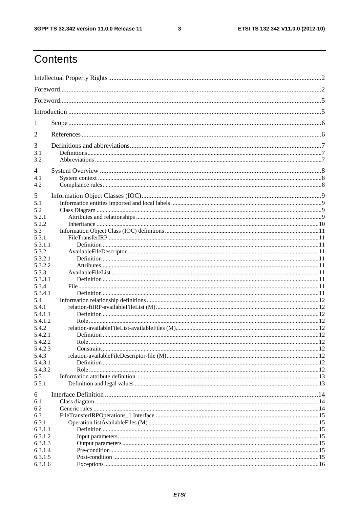$\mathbf{3}$ 

# Contents

| 1                |  |
|------------------|--|
| 2                |  |
| 3                |  |
| 3.1<br>3.2       |  |
| 4                |  |
| 4.1<br>4.2       |  |
| 5                |  |
| 5.1              |  |
| 5.2              |  |
| 5.2.1            |  |
| 5.2.2            |  |
| 5.3              |  |
| 5.3.1            |  |
| 5.3.1.1          |  |
| 5.3.2            |  |
| 5.3.2.1          |  |
| 5.3.2.2          |  |
| 5.3.3            |  |
| 5.3.3.1          |  |
| 5.3.4            |  |
| 5.3.4.1          |  |
| 5.4              |  |
| 5.4.1            |  |
| 5.4.1.1          |  |
| 5.4.1.2          |  |
| 5.4.2<br>5.4.2.1 |  |
| 5.4.2.2          |  |
| 5.4.2.3          |  |
| 5.4.3            |  |
| 5.4.3.1          |  |
| 5.4.3.2          |  |
| 5.5              |  |
| 5.5.1            |  |
|                  |  |
| 6                |  |
| 6.1              |  |
| 6.2              |  |
| 6.3              |  |
| 6.3.1<br>6.3.1.1 |  |
| 6.3.1.2          |  |
| 6.3.1.3          |  |
| 6.3.1.4          |  |
| 6.3.1.5          |  |
| 6.3.1.6          |  |
|                  |  |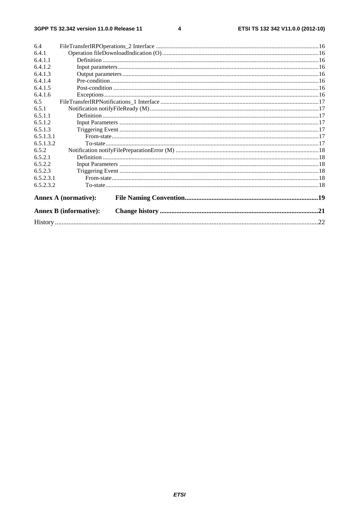$\overline{\mathbf{4}}$ 

| 6.4       |                               |  |  |
|-----------|-------------------------------|--|--|
| 6.4.1     |                               |  |  |
| 6.4.1.1   |                               |  |  |
| 6.4.1.2   |                               |  |  |
| 6.4.1.3   |                               |  |  |
| 6.4.1.4   |                               |  |  |
| 6.4.1.5   |                               |  |  |
| 6.4.1.6   |                               |  |  |
| 6.5       |                               |  |  |
| 6.5.1     |                               |  |  |
| 6.5.1.1   |                               |  |  |
| 6.5.1.2   |                               |  |  |
| 6.5.1.3   |                               |  |  |
| 6.5.1.3.1 |                               |  |  |
| 6.5.1.3.2 |                               |  |  |
| 6.5.2     |                               |  |  |
| 6.5.2.1   |                               |  |  |
| 6.5.2.2   |                               |  |  |
| 6.5.2.3   |                               |  |  |
| 6.5.2.3.1 |                               |  |  |
| 6.5.2.3.2 |                               |  |  |
|           | <b>Annex A (normative):</b>   |  |  |
|           | <b>Annex B</b> (informative): |  |  |
|           |                               |  |  |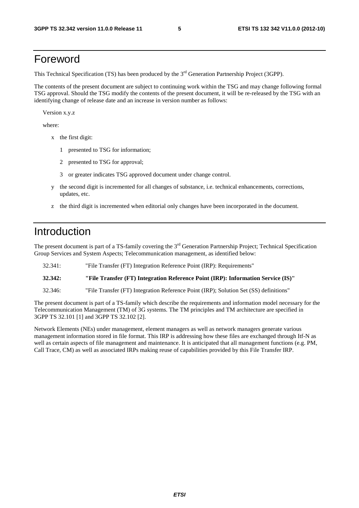# Foreword

This Technical Specification (TS) has been produced by the 3<sup>rd</sup> Generation Partnership Project (3GPP).

The contents of the present document are subject to continuing work within the TSG and may change following formal TSG approval. Should the TSG modify the contents of the present document, it will be re-released by the TSG with an identifying change of release date and an increase in version number as follows:

Version x.y.z

where:

- x the first digit:
	- 1 presented to TSG for information;
	- 2 presented to TSG for approval;
	- 3 or greater indicates TSG approved document under change control.
- y the second digit is incremented for all changes of substance, i.e. technical enhancements, corrections, updates, etc.
- z the third digit is incremented when editorial only changes have been incorporated in the document.

## Introduction

The present document is part of a TS-family covering the 3<sup>rd</sup> Generation Partnership Project; Technical Specification Group Services and System Aspects; Telecommunication management, as identified below:

32.341: "File Transfer (FT) Integration Reference Point (IRP): Requirements"

**32.342: "File Transfer (FT) Integration Reference Point (IRP): Information Service (IS)"** 

32.346: "File Transfer (FT) Integration Reference Point (IRP); Solution Set (SS) definitions"

The present document is part of a TS-family which describe the requirements and information model necessary for the Telecommunication Management (TM) of 3G systems. The TM principles and TM architecture are specified in 3GPP TS 32.101 [1] and 3GPP TS 32.102 [2].

Network Elements (NEs) under management, element managers as well as network managers generate various management information stored in file format. This IRP is addressing how these files are exchanged through Itf-N as well as certain aspects of file management and maintenance. It is anticipated that all management functions (e.g. PM, Call Trace, CM) as well as associated IRPs making reuse of capabilities provided by this File Transfer IRP.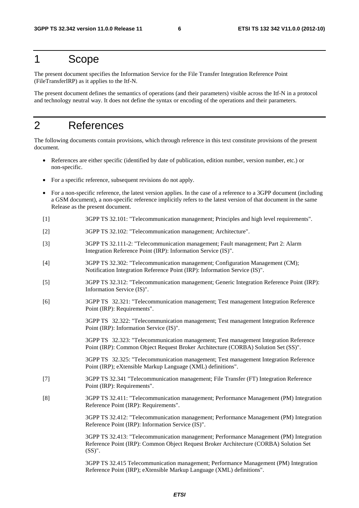# 1 Scope

The present document specifies the Information Service for the File Transfer Integration Reference Point (FileTransferIRP) as it applies to the Itf-N.

The present document defines the semantics of operations (and their parameters) visible across the Itf-N in a protocol and technology neutral way. It does not define the syntax or encoding of the operations and their parameters.

# 2 References

The following documents contain provisions, which through reference in this text constitute provisions of the present document.

- References are either specific (identified by date of publication, edition number, version number, etc.) or non-specific.
- For a specific reference, subsequent revisions do not apply.
- For a non-specific reference, the latest version applies. In the case of a reference to a 3GPP document (including a GSM document), a non-specific reference implicitly refers to the latest version of that document in the same Release as the present document.
- [1] 3GPP TS 32.101: "Telecommunication management; Principles and high level requirements".
- [2] 3GPP TS 32.102: "Telecommunication management; Architecture".
- [3] 3GPP TS 32.111-2: "Telecommunication management; Fault management; Part 2: Alarm Integration Reference Point (IRP): Information Service (IS)".
- [4] 3GPP TS 32.302: "Telecommunication management; Configuration Management (CM); Notification Integration Reference Point (IRP): Information Service (IS)".
- [5] 3GPP TS 32.312: "Telecommunication management; Generic Integration Reference Point (IRP): Information Service (IS)".
- [6] 3GPP TS 32.321: "Telecommunication management; Test management Integration Reference Point (IRP): Requirements".

 3GPP TS 32.322: "Telecommunication management; Test management Integration Reference Point (IRP): Information Service (IS)".

 3GPP TS 32.323: "Telecommunication management; Test management Integration Reference Point (IRP): Common Object Request Broker Architecture (CORBA) Solution Set (SS)".

 3GPP TS 32.325: "Telecommunication management; Test management Integration Reference Point (IRP); eXtensible Markup Language (XML) definitions".

- [7] 3GPP TS 32.341 "Telecommunication management; File Transfer (FT) Integration Reference Point (IRP): Requirements".
- [8] 3GPP TS 32.411: "Telecommunication management; Performance Management (PM) Integration Reference Point (IRP): Requirements".

 3GPP TS 32.412: "Telecommunication management; Performance Management (PM) Integration Reference Point (IRP): Information Service (IS)".

 3GPP TS 32.413: "Telecommunication management; Performance Management (PM) Integration Reference Point (IRP): Common Object Request Broker Architecture (CORBA) Solution Set (SS)".

 3GPP TS 32.415 Telecommunication management; Performance Management (PM) Integration Reference Point (IRP); eXtensible Markup Language (XML) definitions".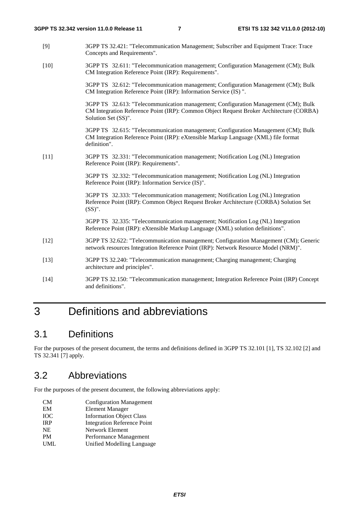- [9] 3GPP TS 32.421: "Telecommunication Management; Subscriber and Equipment Trace: Trace Concepts and Requirements".
- [10] 3GPP TS 32.611: "Telecommunication management; Configuration Management (CM); Bulk CM Integration Reference Point (IRP): Requirements".

 3GPP TS 32.612: "Telecommunication management; Configuration Management (CM); Bulk CM Integration Reference Point (IRP): Information Service (IS) ".

 3GPP TS 32.613: "Telecommunication management; Configuration Management (CM); Bulk CM Integration Reference Point (IRP): Common Object Request Broker Architecture (CORBA) Solution Set (SS)".

 3GPP TS 32.615: "Telecommunication management; Configuration Management (CM); Bulk CM Integration Reference Point (IRP): eXtensible Markup Language (XML) file format definition".

[11] 3GPP TS 32.331: "Telecommunication management; Notification Log (NL) Integration Reference Point (IRP): Requirements".

> 3GPP TS 32.332: "Telecommunication management; Notification Log (NL) Integration Reference Point (IRP): Information Service (IS)".

 3GPP TS 32.333: "Telecommunication management; Notification Log (NL) Integration Reference Point (IRP): Common Object Request Broker Architecture (CORBA) Solution Set (SS)".

 3GPP TS 32.335: "Telecommunication management; Notification Log (NL) Integration Reference Point (IRP): eXtensible Markup Language (XML) solution definitions".

- [12] 3GPP TS 32.622: "Telecommunication management; Configuration Management (CM); Generic network resources Integration Reference Point (IRP): Network Resource Model (NRM)".
- [13] 3GPP TS 32.240: "Telecommunication management; Charging management; Charging architecture and principles".
- [14] 3GPP TS 32.150: "Telecommunication management; Integration Reference Point (IRP) Concept and definitions".

# 3 Definitions and abbreviations

### 3.1 Definitions

For the purposes of the present document, the terms and definitions defined in 3GPP TS 32.101 [1], TS 32.102 [2] and TS 32.341 [7] apply.

### 3.2 Abbreviations

For the purposes of the present document, the following abbreviations apply:

- CM Configuration Management
- EM Element Manager
- IOC Information Object Class
- IRP Integration Reference Point
- NE Network Element
- PM Performance Management UML Unified Modelling Language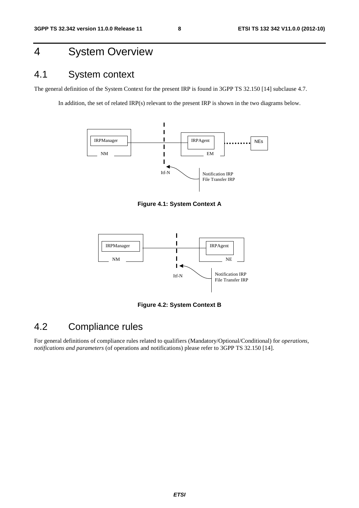# 4 System Overview

# 4.1 System context

The general definition of the System Context for the present IRP is found in 3GPP TS 32.150 [14] subclause 4.7.

In addition, the set of related IRP(s) relevant to the present IRP is shown in the two diagrams below.



**Figure 4.1: System Context A** 



**Figure 4.2: System Context B** 

# 4.2 Compliance rules

For general definitions of compliance rules related to qualifiers (Mandatory/Optional/Conditional) for *operations*, *notifications and parameters* (of operations and notifications) please refer to 3GPP TS 32.150 [14].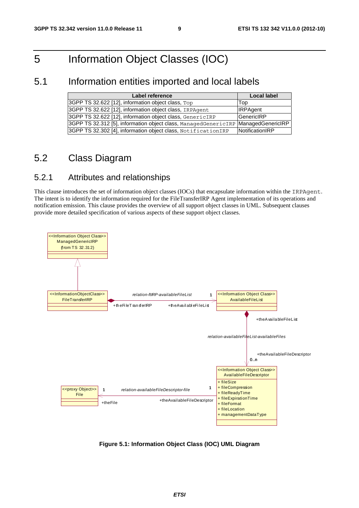# 5 Information Object Classes (IOC)

### 5.1 Information entities imported and local labels

| Label reference                                                                     | <b>Local label</b> |
|-------------------------------------------------------------------------------------|--------------------|
| 3GPP TS 32.622 [12], information object class, Top                                  | Top                |
| 3GPP TS 32.622 [12], information object class, IRPAgent                             | <b>IRPAgent</b>    |
| 3GPP TS 32.622 [12], information object class, GenericIRP                           | GenericIRP         |
| 3GPP TS 32.312 [5], information object class, ManagedGenericIRP   ManagedGenericIRP |                    |
| 3GPP TS 32.302 [4], information object class, Notification IRP                      | NotificationIRP    |

## 5.2 Class Diagram

### 5.2.1 Attributes and relationships

This clause introduces the set of information object classes (IOCs) that encapsulate information within the IRPAgent. The intent is to identify the information required for the FileTransferIRP Agent implementation of its operations and notification emission. This clause provides the overview of all support object classes in UML. Subsequent clauses provide more detailed specification of various aspects of these support object classes.



**Figure 5.1: Information Object Class (IOC) UML Diagram**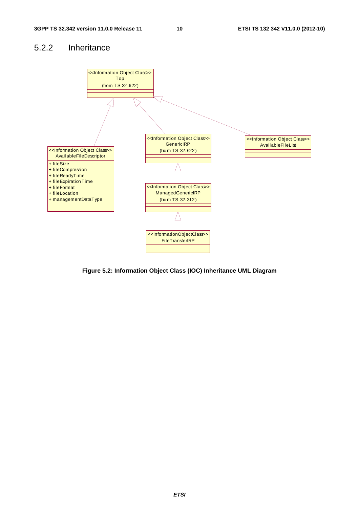### 5.2.2 Inheritance



**Figure 5.2: Information Object Class (IOC) Inheritance UML Diagram**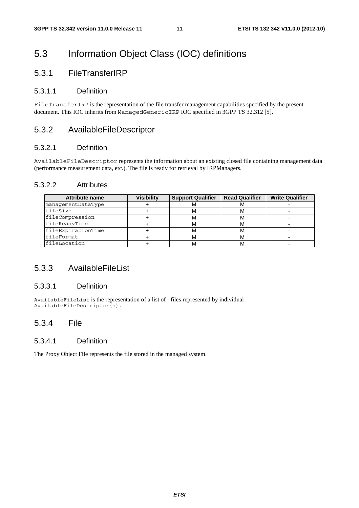# 5.3 Information Object Class (IOC) definitions

### 5.3.1 FileTransferIRP

#### 5.3.1.1 Definition

FileTransferIRP is the representation of the file transfer management capabilities specified by the present document. This IOC inherits from ManagedGenericIRP IOC specified in 3GPP TS 32.312 [5].

### 5.3.2 AvailableFileDescriptor

#### 5.3.2.1 Definition

AvailableFileDescriptor represents the information about an existing closed file containing management data (performance measurement data, etc.). The file is ready for retrieval by IRPManagers.

#### 5.3.2.2 Attributes

| <b>Attribute name</b> | Visibilitv | <b>Support Qualifier</b> | <b>Read Qualifier</b> | <b>Write Qualifier</b> |
|-----------------------|------------|--------------------------|-----------------------|------------------------|
| managementDataType    |            | IVI.                     | <b>IVI</b>            |                        |
| fileSize              |            | м                        | ΙVΙ                   |                        |
| fileCompression       |            | м                        | ΙVΙ                   |                        |
| fileReadyTime         |            | м                        | ΙVΙ                   |                        |
| fileExpirationTime    |            | м                        | M                     |                        |
| EileFormat            |            | м                        | ΙVΙ                   |                        |
| <i>EileLocation</i>   |            | м                        |                       |                        |

### 5.3.3 AvailableFileList

#### 5.3.3.1 Definition

AvailableFileList is the representation of a list of files represented by individual AvailableFileDescriptor(s).

### 5.3.4 File

#### 5.3.4.1 Definition

The Proxy Object File represents the file stored in the managed system.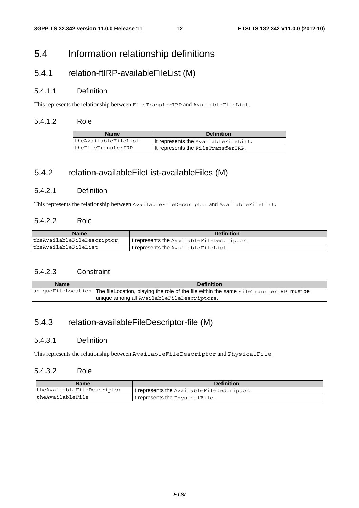## 5.4 Information relationship definitions

### 5.4.1 relation-ftIRP-availableFileList (M)

#### 5.4.1.1 Definition

This represents the relationship between FileTransferIRP and AvailableFileList.

#### 5.4.1.2 Role

| <b>Name</b>          | <b>Definition</b>                    |
|----------------------|--------------------------------------|
| theAvailableFileList | It represents the AvailableFileList. |
| theFileTransferIRP   | It represents the FileTransferIRP.   |

### 5.4.2 relation-availableFileList-availableFiles (M)

#### 5.4.2.1 Definition

This represents the relationship between AvailableFileDescriptor and AvailableFileList.

#### 5.4.2.2 Role

| <b>Name</b>                | <b>Definition</b>                          |
|----------------------------|--------------------------------------------|
| theAvailableFileDescriptor | It represents the AvailableFileDescriptor. |
| theAvailableFileList       | It represents the AvailableFileList.       |

#### 5.4.2.3 Constraint

| <b>Name</b> | <b>Definition</b>                                                                                          |  |
|-------------|------------------------------------------------------------------------------------------------------------|--|
|             | uniqueFileLocation The fileLocation, playing the role of the file within the same FileTransferIRP, must be |  |
|             | unique among all AvailableFileDescriptors.                                                                 |  |

### 5.4.3 relation-availableFileDescriptor-file (M)

#### 5.4.3.1 Definition

This represents the relationship between AvailableFileDescriptor and PhysicalFile.

#### 5.4.3.2 Role

| <b>Name</b>                | <b>Definition</b>                          |
|----------------------------|--------------------------------------------|
| theAvailableFileDescriptor | It represents the AvailableFileDescriptor. |
| theAvailableFile           | It represents the PhysicalFile.            |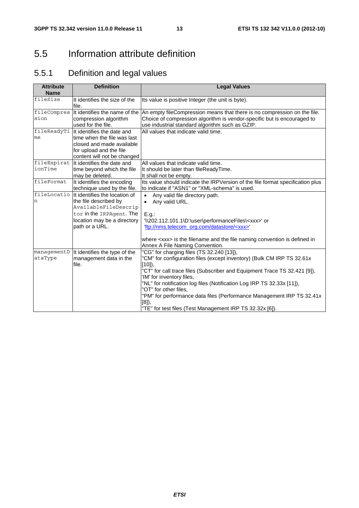# 5.5 Information attribute definition

# 5.5.1 Definition and legal values

| <b>Attribute</b><br><b>Name</b> | <b>Definition</b>                                                                                                                                                         | <b>Legal Values</b>                                                                                                                                                                                                                                                                                                                                                                                                                                                                      |
|---------------------------------|---------------------------------------------------------------------------------------------------------------------------------------------------------------------------|------------------------------------------------------------------------------------------------------------------------------------------------------------------------------------------------------------------------------------------------------------------------------------------------------------------------------------------------------------------------------------------------------------------------------------------------------------------------------------------|
| fileSize                        | It identifies the size of the<br>file.                                                                                                                                    | Its value is positive Integer (the unit is byte).                                                                                                                                                                                                                                                                                                                                                                                                                                        |
| fileCompres<br>sion             | It identifies the name of the<br>compression algorithm<br>used for the file.                                                                                              | An empty fileCompression means that there is no compression on the file.<br>Choice of compression algorithm is vendor-specific but is encouraged to<br>use industrial standard algorithm such as GZIP.                                                                                                                                                                                                                                                                                   |
| fileReadyTi<br>me               | It identifies the date and<br>time when the file was last<br>closed and made available<br>for upload and the file<br>content will not be changed                          | All values that indicate valid time.                                                                                                                                                                                                                                                                                                                                                                                                                                                     |
| fileExpirat<br>ionTime          | It identifies the date and<br>time beyond which the file<br>may be deleted.                                                                                               | All values that indicate valid time.<br>It should be later than fileReadyTime.<br>It shall not be empty.                                                                                                                                                                                                                                                                                                                                                                                 |
| fileFormat                      | It identifies the encoding<br>technique used by the file.                                                                                                                 | Its value should indicate the IRPVersion of the file format specification plus<br>to indicate if "ASN1" or "XML-schema" is used.                                                                                                                                                                                                                                                                                                                                                         |
| n                               | fileLocatio   It identifies the location of<br>the file described by<br>AvailableFileDescrip<br>tor in the IRPAgent. The<br>location may be a directory<br>path or a URL. | Any valid file directory path.<br>$\bullet$<br>Any valid URL.<br>E.g.:<br>'\\202.112.101.1\D:\user\performanceFiles\ <xxx>' or<br/>'ftp://nms.telecom_org.com/datastore/<xxx>'</xxx></xxx>                                                                                                                                                                                                                                                                                               |
|                                 |                                                                                                                                                                           | where <xxx> is the filename and the file naming convention is defined in<br/>Annex A File Naming Convention.</xxx>                                                                                                                                                                                                                                                                                                                                                                       |
| managementD<br>ataType          | It identifies the type of the<br>management data in the<br>file.                                                                                                          | "CG" for charging files (TS 32.240 [13]),<br>"CM" for configuration files (except inventory) (Bulk CM IRP TS 32.61x<br>$[10]$ ,<br>"CT" for call trace files (Subscriber and Equipment Trace TS 32.421 [9]),<br>'IM' for inventory files,<br>"NL" for notification log files (Notification Log IRP TS 32.33x [11]),<br>"OT" for other files.<br>"PM" for performance data files (Performance Management IRP TS 32.41x<br>[8]<br>"TE" for test files (Test Management IRP TS 32.32x [6]). |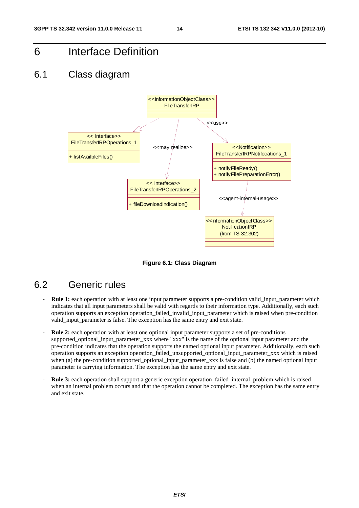6 Interface Definition

### 6.1 Class diagram



**Figure 6.1: Class Diagram** 

### 6.2 Generic rules

- **Rule 1:** each operation with at least one input parameter supports a pre-condition valid\_input\_parameter which indicates that all input parameters shall be valid with regards to their information type. Additionally, each such operation supports an exception operation\_failed\_invalid\_input\_parameter which is raised when pre-condition valid\_input\_parameter is false. The exception has the same entry and exit state.
- Rule 2: each operation with at least one optional input parameter supports a set of pre-conditions supported\_optional\_input\_parameter\_xxx where "xxx" is the name of the optional input parameter and the pre-condition indicates that the operation supports the named optional input parameter. Additionally, each such operation supports an exception operation\_failed\_unsupported\_optional\_input\_parameter\_xxx which is raised when (a) the pre-condition supported optional input parameter xxx is false and (b) the named optional input parameter is carrying information. The exception has the same entry and exit state.
- **Rule 3:** each operation shall support a generic exception operation\_failed\_internal\_problem which is raised when an internal problem occurs and that the operation cannot be completed. The exception has the same entry and exit state.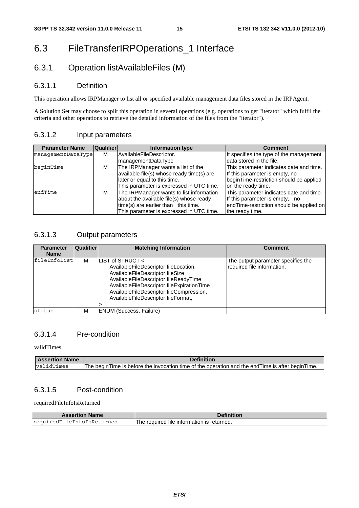# 6.3 FileTransferIRPOperations\_1 Interface

### 6.3.1 Operation listAvailableFiles (M)

#### 6.3.1.1 Definition

This operation allows IRPManager to list all or specified available management data files stored in the IRPAgent.

A Solution Set may choose to split this operation in several operations (e.g. operations to get "iterator" which fulfil the criteria and other operations to retrieve the detailed information of the files from the "iterator").

#### 6.3.1.2 Input parameters

| <b>Parameter Name</b> | <b>Qualifier</b> | Information type                          | <b>Comment</b>                           |
|-----------------------|------------------|-------------------------------------------|------------------------------------------|
| managementDataType    | м                | AvailableFileDescriptor.                  | It specifies the type of the management  |
|                       |                  | managementDataType                        | data stored in the file.                 |
| beginTime             | М                | The IRPManager wants a list of the        | This parameter indicates date and time.  |
|                       |                  | available file(s) whose ready time(s) are | If this parameter is empty, no           |
|                       |                  | later or equal to this time.              | beginTime-restriction should be applied  |
|                       |                  | This parameter is expressed in UTC time.  | on the ready time.                       |
| endTime               | м                | The IRPManager wants to list information  | This parameter indicates date and time.  |
|                       |                  | about the available file(s) whose ready   | If this parameter is empty, no           |
|                       |                  | time(s) are earlier than this time.       | endTime-restriction should be applied on |
|                       |                  | This parameter is expressed in UTC time.  | the ready time.                          |

#### 6.3.1.3 Output parameters

| <b>Parameter</b><br><b>Name</b> | <b>Qualifier</b> | <b>Matching Information</b>                                                                                                                                                                                                                                             | <b>Comment</b>                                                   |
|---------------------------------|------------------|-------------------------------------------------------------------------------------------------------------------------------------------------------------------------------------------------------------------------------------------------------------------------|------------------------------------------------------------------|
| fileInfoList                    | M                | LIST of STRUCT <<br>AvailableFileDescriptor.fileLocation,<br>AvailableFileDescriptor.fileSize<br>AvailableFileDescriptor.fileReadyTime<br>AvailableFileDescriptor.fileExpirationTime<br>AvailableFileDescriptor,fileCompression,<br>AvailableFileDescriptor.fileFormat, | The output parameter specifies the<br>required file information. |
| status                          | M                | ENUM (Success, Failure)                                                                                                                                                                                                                                                 |                                                                  |

#### 6.3.1.4 Pre-condition

validTimes

| <b>Assertion Name</b> | Definition                                                                                          |  |
|-----------------------|-----------------------------------------------------------------------------------------------------|--|
| validTimes            | The begin Time is before the invocation time of the operation and the end Time is after begin Time. |  |

#### 6.3.1.5 Post-condition

requiredFileInfoIsReturned

| <b>Assertion Name</b>      | Definition                                 |
|----------------------------|--------------------------------------------|
| requiredFileInfoIsReturned | The required file information is returned. |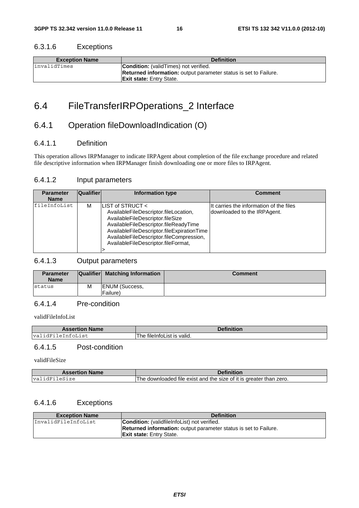#### 6.3.1.6 Exceptions

| <b>Exception Name</b> | <b>Definition</b>                                                       |
|-----------------------|-------------------------------------------------------------------------|
| linvalidTimes         | <b>Condition:</b> (validTimes) not verified.                            |
|                       | <b>Returned information:</b> output parameter status is set to Failure. |
|                       | <b>Exit state:</b> Entry State.                                         |

# 6.4 FileTransferIRPOperations\_2 Interface

### 6.4.1 Operation fileDownloadIndication (O)

#### 6.4.1.1 Definition

This operation allows IRPManager to indicate IRPAgent about completion of the file exchange procedure and related file descriptive information when IRPManager finish downloading one or more files to IRPAgent.

#### 6.4.1.2 Input parameters

| <b>Parameter</b><br><b>Name</b> | <b>Qualifier</b> | Information type                                                                                                                                                                                                                                                            | <b>Comment</b>                                                          |
|---------------------------------|------------------|-----------------------------------------------------------------------------------------------------------------------------------------------------------------------------------------------------------------------------------------------------------------------------|-------------------------------------------------------------------------|
| fileInfoList                    | м                | LIST of STRUCT $\lt$<br>AvailableFileDescriptor.fileLocation.<br>AvailableFileDescriptor.fileSize<br>AvailableFileDescriptor.fileReadyTime<br>AvailableFileDescriptor.fileExpirationTime<br>AvailableFileDescriptor.fileCompression,<br>AvailableFileDescriptor.fileFormat, | IIt carries the information of the files<br>downloaded to the IRPAgent. |

#### 6.4.1.3 Output parameters

| <b>Parameter</b><br><b>Name</b> |   | Qualifier Matching Information    | <b>Comment</b> |
|---------------------------------|---|-----------------------------------|----------------|
| status                          | M | <b>ENUM</b> (Success,<br>Failure) |                |

#### 6.4.1.4 Pre-condition

validFileInfoList

| <b>Assertion Name</b> | <b>Definition</b> |
|-----------------------|-------------------|
| leInfoList            | ' is valid.       |
| va l                  | fileInfoList      |
| . i dFi               | The l             |

### 6.4.1.5 Post-condition

validFileSize

| <b>Assertion Name</b> | Definition                                                         |
|-----------------------|--------------------------------------------------------------------|
| validFileSize         | The downloaded file exist and the size of it is greater than zero. |

#### 6.4.1.6 Exceptions

| <b>Exception Name</b> | <b>Definition</b>                                                       |
|-----------------------|-------------------------------------------------------------------------|
| InvalidFileInfoList   | <b>Condition:</b> (validfile Infolation) not verified.                  |
|                       | <b>Returned information:</b> output parameter status is set to Failure. |
|                       | <b>Exit state:</b> Entry State.                                         |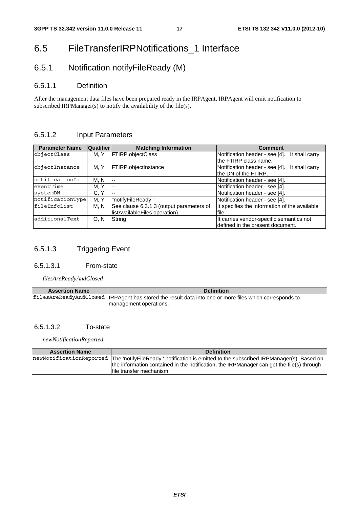# 6.5 FileTransferIRPNotifications\_1 Interface

# 6.5.1 Notification notifyFileReady (M)

#### 6.5.1.1 Definition

After the management data files have been prepared ready in the IRPAgent, IRPAgent will emit notification to subscribed IRPManager(s) to notify the availability of the file(s).

#### 6.5.1.2 Input Parameters

| <b>Parameter Name</b> | <b>Qualifier</b> | <b>Matching Information</b>              | <b>Comment</b>                                   |
|-----------------------|------------------|------------------------------------------|--------------------------------------------------|
| objectClass           | M.Y              | <b>FTIRP.objectClass</b>                 | Notification header - see [4].<br>It shall carry |
|                       |                  |                                          | the FTIRP class name.                            |
| objectInstance        | M. Y             | <b>FTIRP.objectInstance</b>              | Notification header - see [4].<br>It shall carry |
|                       |                  |                                          | the DN of the FTIRP.                             |
| notificationId        | M. N             | --                                       | Notification header - see [4].                   |
| eventTime             | M, Y             | $ -$                                     | Notification header - see [4].                   |
| systemDN              | C.Y              | $- -$                                    | Notification header - see [4].                   |
| notificationType      | M. Y             | "notifyFileReady"                        | Notification header - see [4].                   |
| fileInfoList          | M. N             | See clause 6.3.1.3 (output parameters of | It specifies the information of the available    |
|                       |                  | listAvailableFiles operation).           | file.                                            |
| additionalText        | O. N             | String                                   | It carries vendor-specific semantics not         |
|                       |                  |                                          | defined in the present document.                 |

### 6.5.1.3 Triggering Event

#### 6.5.1.3.1 From-state

*filesAreReadyAndClosed*

| <b>Assertion Name</b> | <b>Definition</b>                                                                                       |
|-----------------------|---------------------------------------------------------------------------------------------------------|
|                       | filesAreReadyAndClosed  IRPAgent has stored the result data into one or more files which corresponds to |
|                       | management operations.                                                                                  |

#### 6.5.1.3.2 To-state

*newNotificationReported*

| <b>Assertion Name</b> | <b>Definition</b>                                                                                                                                                                                                                         |
|-----------------------|-------------------------------------------------------------------------------------------------------------------------------------------------------------------------------------------------------------------------------------------|
|                       | newNotificationReported The 'notifyFileReady' notification is emitted to the subscribed IRPManager(s). Based on<br>the information contained in the notification, the IRPManager can get the file(s) through<br>Ifile transfer mechanism. |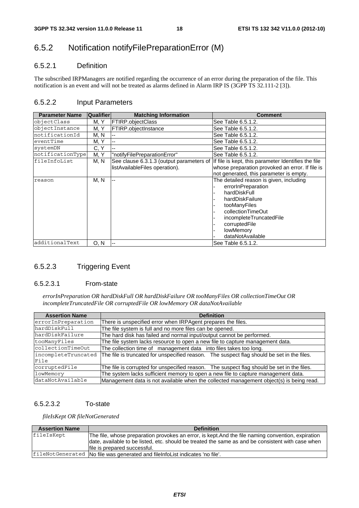### 6.5.2 Notification notifyFilePreparationError (M)

#### 6.5.2.1 Definition

The subscribed IRPManagers are notified regarding the occurrence of an error during the preparation of the file. This notification is an event and will not be treated as alarms defined in Alarm IRP IS (3GPP TS 32.111-2 [3]).

#### 6.5.2.2 Input Parameters

| <b>Parameter Name</b> | <b>Qualifier</b> | <b>Matching Information</b>                                                | <b>Comment</b>                                                                                                                                                                                                     |
|-----------------------|------------------|----------------------------------------------------------------------------|--------------------------------------------------------------------------------------------------------------------------------------------------------------------------------------------------------------------|
| objectClass           | M. Y             | FTIRP.objectClass                                                          | See Table 6.5.1.2.                                                                                                                                                                                                 |
| objectInstance        | M. Y             | <b>FTIRP.objectInstance</b>                                                | See Table 6.5.1.2.                                                                                                                                                                                                 |
| notificationId        | M, N             |                                                                            | See Table 6.5.1.2.                                                                                                                                                                                                 |
| eventTime             | M, Y             |                                                                            | See Table 6.5.1.2.                                                                                                                                                                                                 |
| systemDN              | C, Y             |                                                                            | See Table 6.5.1.2.                                                                                                                                                                                                 |
| notificationType      | M, Y             | "notifyFilePreparationError"                                               | See Table 6.5.1.2.                                                                                                                                                                                                 |
| fileInfoList          | M, N             | See clause 6.3.1.3 (output parameters of<br>listAvailableFiles operation). | If file is kept, this parameter Identifies the file<br>whose preparation provoked an error. If file is<br>not generated, this parameter is empty.                                                                  |
| reason                | M, N             | $-$                                                                        | The detailed reason is given, including<br>errorInPreparation<br>hardDiskFull<br>hardDiskFailure<br>tooManyFiles<br>collectionTimeOut<br>incompleteTruncatedFile<br>corruptedFile<br>lowMemory<br>dataNotAvailable |
| additionalText        | 0. N             |                                                                            | See Table 6.5.1.2.                                                                                                                                                                                                 |

#### 6.5.2.3 Triggering Event

#### 6.5.2.3.1 From-state

*errorInPreparation OR hardDiskFull OR hardDiskFailure OR tooManyFiles OR collectionTimeOut OR incompleteTruncatedFile OR corruptedFile OR lowMemory OR dataNotAvailable*

| <b>Assertion Name</b> | <b>Definition</b>                                                                          |
|-----------------------|--------------------------------------------------------------------------------------------|
| errorInPreparation    | There is unspecified error when IRPAgent prepares the files.                               |
| hardDiskFull          | The file system is full and no more files can be opened.                                   |
| hardDiskFailure       | The hard disk has failed and normal input/output cannot be performed.                      |
| tooManyFiles          | The file system lacks resource to open a new file to capture management data.              |
| collectionTimeOut     | The collection time of management data into files takes too long.                          |
| incompleteTruncated   | The file is truncated for unspecified reason. The suspect flag should be set in the files. |
| File                  |                                                                                            |
| corruptedFile         | The file is corrupted for unspecified reason. The suspect flag should be set in the files. |
| lowMemory             | The system lacks sufficient memory to open a new file to capture management data.          |
| dataNotAvailable      | Management data is not available when the collected management object(s) is being read.    |

#### 6.5.2.3.2 To-state

*fileIsKept OR fileNotGenerated*

| <b>Assertion Name</b> | <b>Definition</b>                                                                                                                                                                                                                        |
|-----------------------|------------------------------------------------------------------------------------------------------------------------------------------------------------------------------------------------------------------------------------------|
| fileIsKept            | The file, whose preparation provokes an error, is kept. And the file naming convention, expiration<br>date, available to be listed, etc. should be treated the same as and be consistent with case when<br>Ifile is prepared successful. |
|                       | fileNotGenerated   No file was generated and fileInfoList indicates 'no file'.                                                                                                                                                           |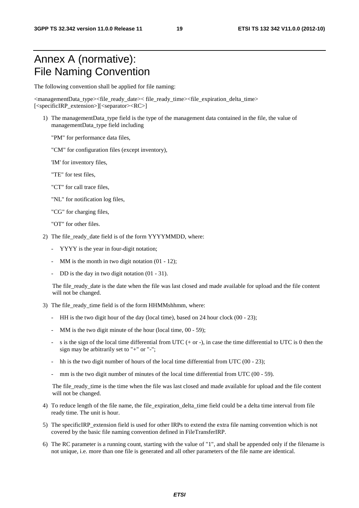# Annex A (normative): File Naming Convention

The following convention shall be applied for file naming:

<managementData\_type><file\_ready\_date>< file\_ready\_time><file\_expiration\_delta\_time> [<specificIRP\_extension>][<separator><RC>]

- 1) The managementData\_type field is the type of the management data contained in the file, the value of managementData\_type field including
	- "PM" for performance data files,
	- "CM" for configuration files (except inventory),
	- 'IM' for inventory files,
	- "TE" for test files,
	- "CT" for call trace files,
	- "NL" for notification log files,
	- "CG" for charging files,
	- "OT" for other files.
- 2) The file\_ready\_date field is of the form YYYYMMDD, where:
	- YYYY is the year in four-digit notation;
	- MM is the month in two digit notation  $(01 12)$ ;
	- DD is the day in two digit notation  $(01 31)$ .

The file\_ready\_date is the date when the file was last closed and made available for upload and the file content will not be changed.

- 3) The file ready time field is of the form HHMMshhmm, where:
	- HH is the two digit hour of the day (local time), based on 24 hour clock (00 23);
	- MM is the two digit minute of the hour (local time,  $00 59$ );
	- s is the sign of the local time differential from UTC  $(+ or -)$ , in case the time differential to UTC is 0 then the sign may be arbitrarily set to "+" or "-";
	- hh is the two digit number of hours of the local time differential from UTC  $(00 23)$ ;
	- mm is the two digit number of minutes of the local time differential from UTC ( $00 59$ ).

The file\_ready\_time is the time when the file was last closed and made available for upload and the file content will not be changed.

- 4) To reduce length of the file name, the file\_expiration\_delta\_time field could be a delta time interval from file ready time. The unit is hour.
- 5) The specificIRP\_extension field is used for other IRPs to extend the extra file naming convention which is not covered by the basic file naming convention defined in FileTransferIRP.
- 6) The RC parameter is a running count, starting with the value of "1", and shall be appended only if the filename is not unique, i.e. more than one file is generated and all other parameters of the file name are identical.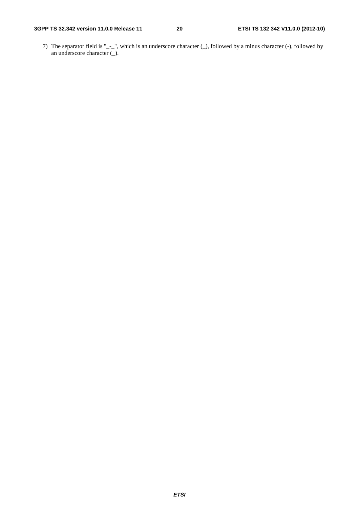7) The separator field is "\_-\_", which is an underscore character (\_), followed by a minus character (-), followed by an underscore character (\_).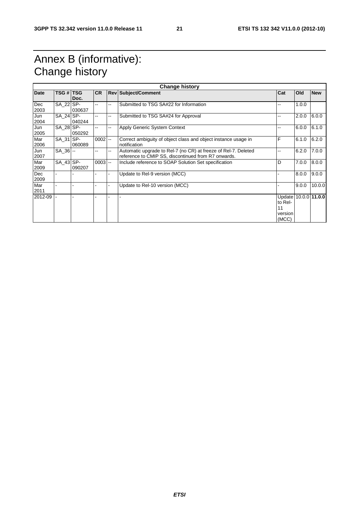# Annex B (informative): Change history

| <b>Change history</b> |                  |        |            |               |                                                                |                      |       |            |
|-----------------------|------------------|--------|------------|---------------|----------------------------------------------------------------|----------------------|-------|------------|
| <b>Date</b>           | <b>TSG # TSG</b> |        | <b>CR</b>  |               | <b>Rev Subject/Comment</b>                                     | Cat                  | Old   | <b>New</b> |
|                       |                  | Doc.   |            |               |                                                                |                      |       |            |
| Dec                   | SA_22 SP-        |        |            | --            | Submitted to TSG SA#22 for Information                         | --                   | 1.0.0 |            |
| 2003                  |                  | 030637 |            |               |                                                                |                      |       |            |
| Jun                   | SA 24 SP-        |        | --         | --            | Submitted to TSG SA#24 for Approval                            |                      | 2.0.0 | 6.0.0      |
| 2004                  |                  | 040244 |            |               |                                                                |                      |       |            |
| Jun                   | SA 28 SP-        |        | --         | --            | Apply Generic System Context                                   |                      | 6.0.0 | 6.1.0      |
| 2005                  |                  | 050292 |            |               |                                                                |                      |       |            |
| Mar                   | SA_31 SP-        |        | 0002       | $\sim$ $\sim$ | Correct ambiguity of object class and object instance usage in | F                    | 6.1.0 | 6.2.0      |
| 2006                  |                  | 060089 |            |               | notification                                                   |                      |       |            |
| Jun                   | $SA$ 36 $-$      |        |            | --            | Automatic upgrade to Rel-7 (no CR) at freeze of Rel-7. Deleted |                      | 6.2.0 | 7.0.0      |
| 2007                  |                  |        |            |               | reference to CMIP SS, discontinued from R7 onwards.            |                      |       |            |
| Mar                   | SA 43 SP-        |        | $0003$ $-$ |               | Include reference to SOAP Solution Set specification           | D                    | 7.0.0 | 8.0.0      |
| 2009                  |                  | 090207 |            |               |                                                                |                      |       |            |
| Dec                   |                  |        |            |               | Update to Rel-9 version (MCC)                                  |                      | 8.0.0 | 9.0.0      |
| 2009                  |                  |        |            |               |                                                                |                      |       |            |
| Mar                   |                  |        |            |               | Update to Rel-10 version (MCC)                                 |                      | 9.0.0 | 10.0.0     |
| 2011                  |                  |        |            |               |                                                                |                      |       |            |
| 2012-09               |                  |        |            |               |                                                                | Update 10.0.0 11.0.0 |       |            |
|                       |                  |        |            |               |                                                                | to Rel-              |       |            |
|                       |                  |        |            |               |                                                                | 11                   |       |            |
|                       |                  |        |            |               |                                                                | version              |       |            |
|                       |                  |        |            |               |                                                                | (MCC)                |       |            |